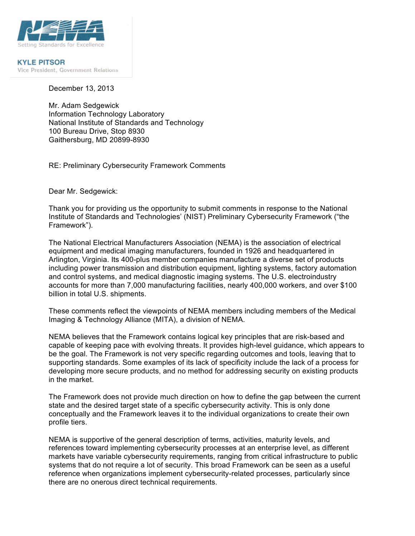

**KYLE PITSOR** Vice President, Government Relations

December 13, 2013

 Gaithersburg, MD 20899-8930 Mr. Adam Sedgewick Information Technology Laboratory National Institute of Standards and Technology 100 Bureau Drive, Stop 8930

RE: Preliminary Cybersecurity Framework Comments

Dear Mr. Sedgewick:

 Thank you for providing us the opportunity to submit comments in response to the National Institute of Standards and Technologies' (NIST) Preliminary Cybersecurity Framework ("the Framework").

 The National Electrical Manufacturers Association (NEMA) is the association of electrical Arlington, Virginia. Its 400-plus member companies manufacture a diverse set of products including power transmission and distribution equipment, lighting systems, factory automation and control systems, and medical diagnostic imaging systems. The U.S. electroindustry accounts for more than 7,000 manufacturing facilities, nearly 400,000 workers, and over \$100 billion in total U.S. shipments. equipment and medical imaging manufacturers, founded in 1926 and headquartered in

 These comments reflect the viewpoints of NEMA members including members of the Medical Imaging & Technology Alliance (MITA), a division of NEMA.

 NEMA believes that the Framework contains logical key principles that are risk-based and capable of keeping pace with evolving threats. It provides high-level guidance, which appears to be the goal. The Framework is not very specific regarding outcomes and tools, leaving that to supporting standards. Some examples of its lack of specificity include the lack of a process for in the market. developing more secure products, and no method for addressing security on existing products

 The Framework does not provide much direction on how to define the gap between the current state and the desired target state of a specific cybersecurity activity. This is only done conceptually and the Framework leaves it to the individual organizations to create their own profile tiers.

profile tiers.<br>NEMA is supportive of the general description of terms, activities, maturity levels, and references toward implementing cybersecurity processes at an enterprise level, as different markets have variable cybersecurity requirements, ranging from critical infrastructure to public systems that do not require a lot of security. This broad Framework can be seen as a useful reference when organizations implement cybersecurity-related processes, particularly since there are no onerous direct technical requirements.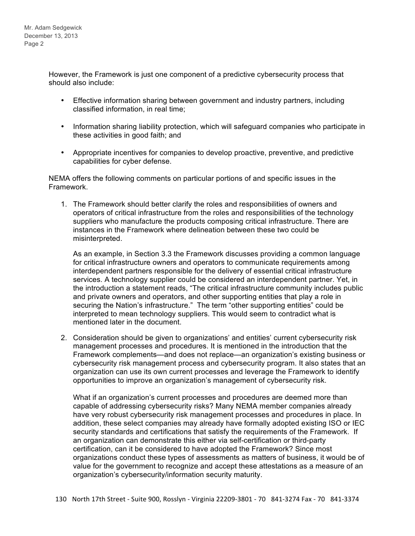However, the Framework is just one component of a predictive cybersecurity process that should also include:

- Effective information sharing between government and industry partners, including classified information, in real time;
- these activities in good faith; and • Information sharing liability protection, which will safeguard companies who participate in
- • Appropriate incentives for companies to develop proactive, preventive, and predictive capabilities for cyber defense.

 NEMA offers the following comments on particular portions of and specific issues in the Framework.

 operators of critical infrastructure from the roles and responsibilities of the technology suppliers who manufacture the products composing critical infrastructure. There are instances in the Framework where delineation between these two could be 1. The Framework should better clarify the roles and responsibilities of owners and misinterpreted.

 As an example, in Section 3.3 the Framework discusses providing a common language interdependent partners responsible for the delivery of essential critical infrastructure services. A technology supplier could be considered an interdependent partner. Yet, in the introduction a statement reads, "The critical infrastructure community includes public and private owners and operators, and other supporting entities that play a role in securing the Nation's infrastructure." The term "other supporting entities" could be interpreted to mean technology suppliers. This would seem to contradict what is mentioned later in the document. for critical infrastructure owners and operators to communicate requirements among

2. Consideration should be given to organizations' and entities' current cybersecurity risk management processes and procedures. It is mentioned in the introduction that the Framework complements—and does not replace—an organization's existing business or cybersecurity risk management process and cybersecurity program. It also states that an organization can use its own current processes and leverage the Framework to identify opportunities to improve an organization's management of cybersecurity risk.

 What if an organization's current processes and procedures are deemed more than capable of addressing cybersecurity risks? Many NEMA member companies already have very robust cybersecurity risk management processes and procedures in place. In addition, these select companies may already have formally adopted existing ISO or IEC security standards and certifications that satisfy the requirements of the Framework. If an organization can demonstrate this either via self-certification or third-party certification, can it be considered to have adopted the Framework? Since most organizations conduct these types of assessments as matters of business, it would be of value for the government to recognize and accept these attestations as a measure of an organization's cybersecurity/information security maturity.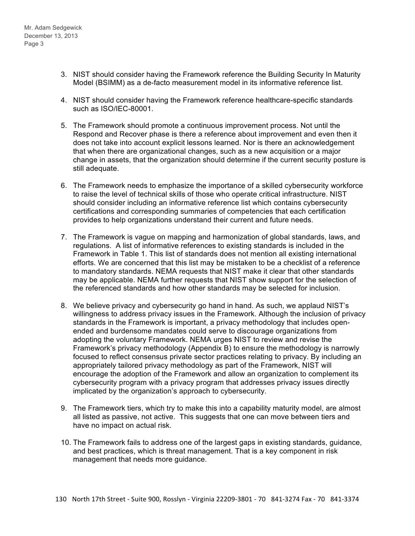- 3. NIST should consider having the Framework reference the Building Security In Maturity Model (BSIMM) as a de-facto measurement model in its informative reference list.
- 4. NIST should consider having the Framework reference healthcare-specific standards such as ISO/IEC-80001.
- 5. The Framework should promote a continuous improvement process. Not until the Respond and Recover phase is there a reference about improvement and even then it does not take into account explicit lessons learned. Nor is there an acknowledgement that when there are organizational changes, such as a new acquisition or a major change in assets, that the organization should determine if the current security posture is still adequate.
- provides to help organizations understand their current and future needs. 6. The Framework needs to emphasize the importance of a skilled cybersecurity workforce to raise the level of technical skills of those who operate critical infrastructure. NIST should consider including an informative reference list which contains cybersecurity certifications and corresponding summaries of competencies that each certification
- 7. The Framework is vague on mapping and harmonization of global standards, laws, and regulations. A list of informative references to existing standards is included in the Framework in Table 1. This list of standards does not mention all existing international efforts. We are concerned that this list may be mistaken to be a checklist of a reference to mandatory standards. NEMA requests that NIST make it clear that other standards may be applicable. NEMA further requests that NIST show support for the selection of the referenced standards and how other standards may be selected for inclusion.
- 8. We believe privacy and cybersecurity go hand in hand. As such, we applaud NIST's willingness to address privacy issues in the Framework. Although the inclusion of privacy standards in the Framework is important, a privacy methodology that includes open- ended and burdensome mandates could serve to discourage organizations from Framework's privacy methodology (Appendix B) to ensure the methodology is narrowly focused to reflect consensus private sector practices relating to privacy. By including an appropriately tailored privacy methodology as part of the Framework, NIST will encourage the adoption of the Framework and allow an organization to complement its cybersecurity program with a privacy program that addresses privacy issues directly implicated by the organization's approach to cybersecurity. adopting the voluntary Framework. NEMA urges NIST to review and revise the
- all listed as passive, not active. This suggests that one can move between tiers and have no impact on actual risk. 9. The Framework tiers, which try to make this into a capability maturity model, are almost
- and best practices, which is threat management. That is a key component in risk management that needs more guidance. 10. The Framework fails to address one of the largest gaps in existing standards, guidance,